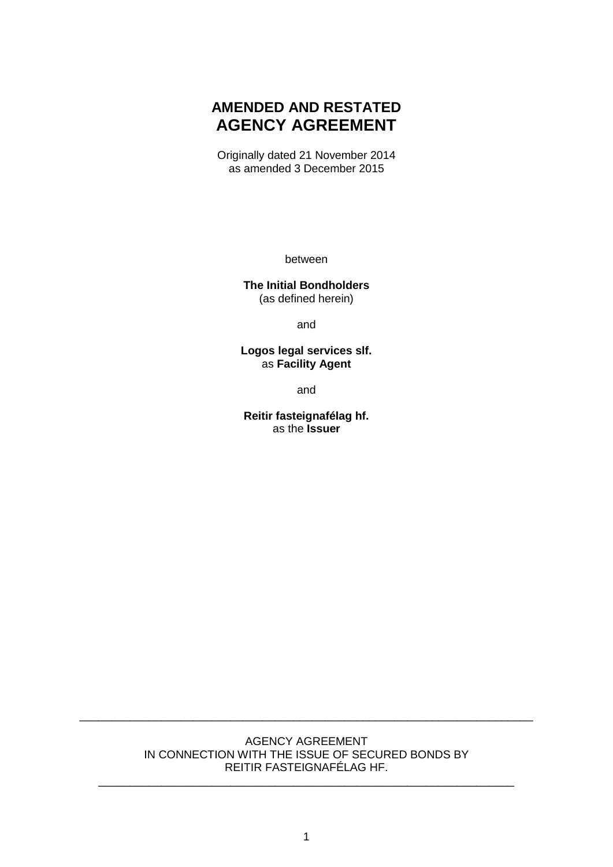# **AMENDED AND RESTATED AGENCY AGREEMENT**

Originally dated 21 November 2014 as amended 3 December 2015

between

**The Initial Bondholders** (as defined herein)

and

**Logos legal services slf.** as **Facility Agent**

and

**Reitir fasteignafélag hf.** as the **Issuer**

#### AGENCY AGREEMENT IN CONNECTION WITH THE ISSUE OF SECURED BONDS BY REITIR FASTEIGNAFÉLAG HF.

\_\_\_\_\_\_\_\_\_\_\_\_\_\_\_\_\_\_\_\_\_\_\_\_\_\_\_\_\_\_\_\_\_\_\_\_\_\_\_\_\_\_\_\_\_\_\_\_\_\_\_\_\_\_\_\_\_\_\_\_\_\_\_\_\_\_

\_\_\_\_\_\_\_\_\_\_\_\_\_\_\_\_\_\_\_\_\_\_\_\_\_\_\_\_\_\_\_\_\_\_\_\_\_\_\_\_\_\_\_\_\_\_\_\_\_\_\_\_\_\_\_\_\_\_\_\_\_\_\_\_\_\_\_\_\_\_\_\_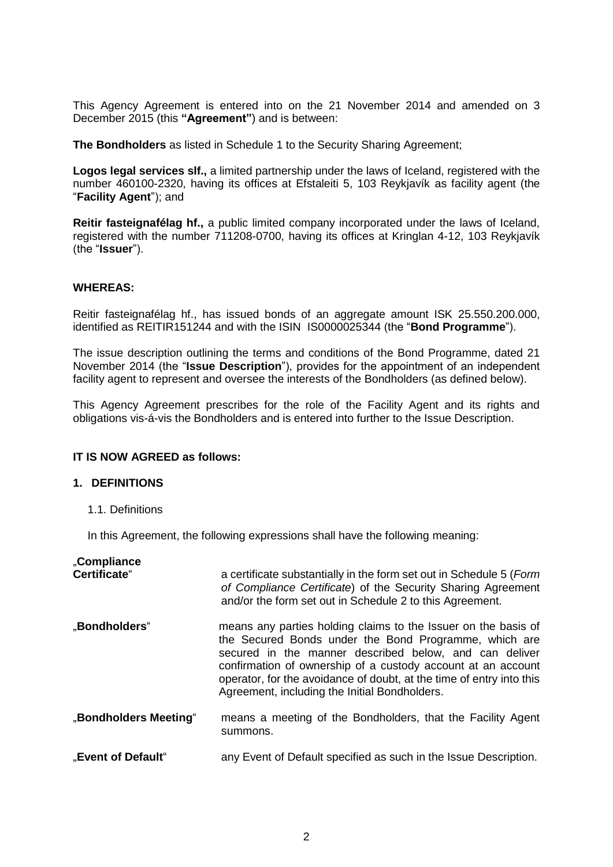This Agency Agreement is entered into on the 21 November 2014 and amended on 3 December 2015 (this **"Agreement"**) and is between:

**The Bondholders** as listed in Schedule 1 to the Security Sharing Agreement;

**Logos legal services slf.,** a limited partnership under the laws of Iceland, registered with the number 460100-2320, having its offices at Efstaleiti 5, 103 Reykjavík as facility agent (the "**Facility Agent**"); and

**Reitir fasteignafélag hf.,** a public limited company incorporated under the laws of Iceland, registered with the number 711208-0700, having its offices at Kringlan 4-12, 103 Reykjavík (the "**Issuer**").

#### **WHEREAS:**

Reitir fasteignafélag hf., has issued bonds of an aggregate amount ISK 25.550.200.000, identified as REITIR151244 and with the ISIN IS0000025344 (the "**Bond Programme**").

The issue description outlining the terms and conditions of the Bond Programme, dated 21 November 2014 (the "**Issue Description**"), provides for the appointment of an independent facility agent to represent and oversee the interests of the Bondholders (as defined below).

This Agency Agreement prescribes for the role of the Facility Agent and its rights and obligations vis-á-vis the Bondholders and is entered into further to the Issue Description.

#### **IT IS NOW AGREED as follows:**

#### **1. DEFINITIONS**

1.1. Definitions

In this Agreement, the following expressions shall have the following meaning:

| "Compliance<br>Certificate" | a certificate substantially in the form set out in Schedule 5 (Form<br>of Compliance Certificate) of the Security Sharing Agreement<br>and/or the form set out in Schedule 2 to this Agreement.                                                                                                                                                                            |
|-----------------------------|----------------------------------------------------------------------------------------------------------------------------------------------------------------------------------------------------------------------------------------------------------------------------------------------------------------------------------------------------------------------------|
| "Bondholders"               | means any parties holding claims to the Issuer on the basis of<br>the Secured Bonds under the Bond Programme, which are<br>secured in the manner described below, and can deliver<br>confirmation of ownership of a custody account at an account<br>operator, for the avoidance of doubt, at the time of entry into this<br>Agreement, including the Initial Bondholders. |
| "Bondholders Meeting"       | means a meeting of the Bondholders, that the Facility Agent<br>summons.                                                                                                                                                                                                                                                                                                    |
| "Event of Default"          | any Event of Default specified as such in the Issue Description.                                                                                                                                                                                                                                                                                                           |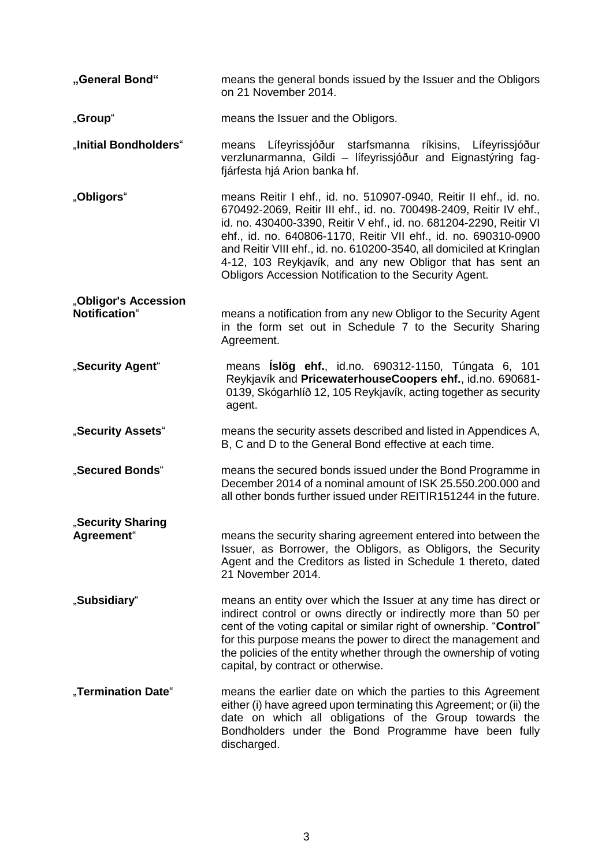| "General Bond"                        | means the general bonds issued by the Issuer and the Obligors<br>on 21 November 2014.                                                                                                                                                                                                                                                                                                                                                                                           |
|---------------------------------------|---------------------------------------------------------------------------------------------------------------------------------------------------------------------------------------------------------------------------------------------------------------------------------------------------------------------------------------------------------------------------------------------------------------------------------------------------------------------------------|
| "Group"                               | means the Issuer and the Obligors.                                                                                                                                                                                                                                                                                                                                                                                                                                              |
| "Initial Bondholders"                 | means Lífeyrissjóður starfsmanna<br>ríkisins,<br>Lífeyrissjóður<br>verzlunarmanna, Gildi - lífeyrissjóður and Eignastýring fag-<br>fjárfesta hjá Arion banka hf.                                                                                                                                                                                                                                                                                                                |
| "Obligors"                            | means Reitir I ehf., id. no. 510907-0940, Reitir II ehf., id. no.<br>670492-2069, Reitir III ehf., id. no. 700498-2409, Reitir IV ehf.,<br>id. no. 430400-3390, Reitir V ehf., id. no. 681204-2290, Reitir VI<br>ehf., id. no. 640806-1170, Reitir VII ehf., id. no. 690310-0900<br>and Reitir VIII ehf., id. no. 610200-3540, all domiciled at Kringlan<br>4-12, 103 Reykjavík, and any new Obligor that has sent an<br>Obligors Accession Notification to the Security Agent. |
| "Obligor's Accession<br>Notification" | means a notification from any new Obligor to the Security Agent<br>in the form set out in Schedule 7 to the Security Sharing<br>Agreement.                                                                                                                                                                                                                                                                                                                                      |
| "Security Agent"                      | means <b>Íslög ehf.</b> , id.no. 690312-1150, Túngata 6, 101<br>Reykjavík and PricewaterhouseCoopers ehf., id.no. 690681-<br>0139, Skógarhlíð 12, 105 Reykjavík, acting together as security<br>agent.                                                                                                                                                                                                                                                                          |
| "Security Assets"                     | means the security assets described and listed in Appendices A,<br>B, C and D to the General Bond effective at each time.                                                                                                                                                                                                                                                                                                                                                       |
| "Secured Bonds"                       | means the secured bonds issued under the Bond Programme in<br>December 2014 of a nominal amount of ISK 25.550.200.000 and<br>all other bonds further issued under REITIR151244 in the future.                                                                                                                                                                                                                                                                                   |
| "Security Sharing<br>Agreement"       | means the security sharing agreement entered into between the<br>Issuer, as Borrower, the Obligors, as Obligors, the Security<br>Agent and the Creditors as listed in Schedule 1 thereto, dated<br>21 November 2014.                                                                                                                                                                                                                                                            |
| "Subsidiary"                          | means an entity over which the Issuer at any time has direct or<br>indirect control or owns directly or indirectly more than 50 per<br>cent of the voting capital or similar right of ownership. "Control"<br>for this purpose means the power to direct the management and<br>the policies of the entity whether through the ownership of voting<br>capital, by contract or otherwise.                                                                                         |
| "Termination Date"                    | means the earlier date on which the parties to this Agreement<br>either (i) have agreed upon terminating this Agreement; or (ii) the<br>date on which all obligations of the Group towards the<br>Bondholders under the Bond Programme have been fully<br>discharged.                                                                                                                                                                                                           |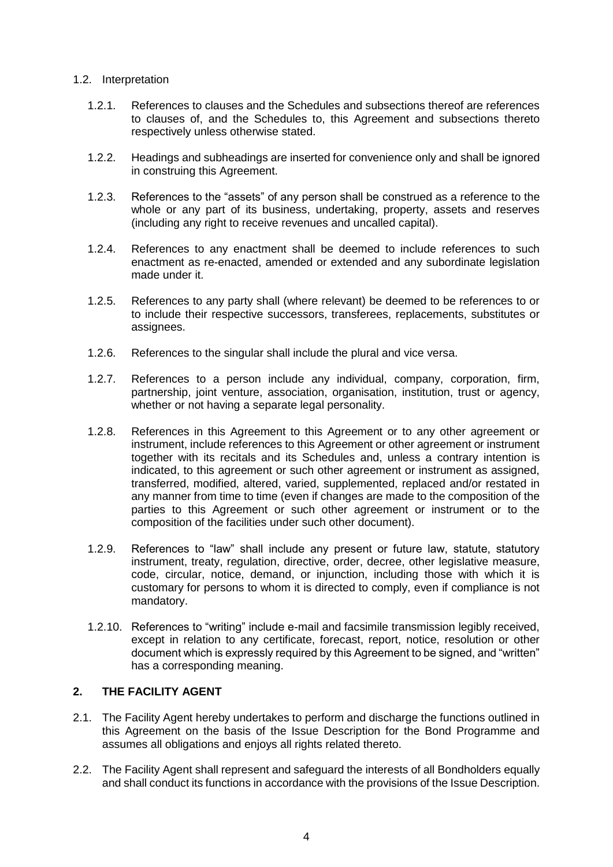#### 1.2. Interpretation

- 1.2.1. References to clauses and the Schedules and subsections thereof are references to clauses of, and the Schedules to, this Agreement and subsections thereto respectively unless otherwise stated.
- 1.2.2. Headings and subheadings are inserted for convenience only and shall be ignored in construing this Agreement.
- 1.2.3. References to the "assets" of any person shall be construed as a reference to the whole or any part of its business, undertaking, property, assets and reserves (including any right to receive revenues and uncalled capital).
- 1.2.4. References to any enactment shall be deemed to include references to such enactment as re-enacted, amended or extended and any subordinate legislation made under it.
- 1.2.5. References to any party shall (where relevant) be deemed to be references to or to include their respective successors, transferees, replacements, substitutes or assignees.
- 1.2.6. References to the singular shall include the plural and vice versa.
- 1.2.7. References to a person include any individual, company, corporation, firm, partnership, joint venture, association, organisation, institution, trust or agency, whether or not having a separate legal personality.
- 1.2.8. References in this Agreement to this Agreement or to any other agreement or instrument, include references to this Agreement or other agreement or instrument together with its recitals and its Schedules and, unless a contrary intention is indicated, to this agreement or such other agreement or instrument as assigned, transferred, modified, altered, varied, supplemented, replaced and/or restated in any manner from time to time (even if changes are made to the composition of the parties to this Agreement or such other agreement or instrument or to the composition of the facilities under such other document).
- 1.2.9. References to "law" shall include any present or future law, statute, statutory instrument, treaty, regulation, directive, order, decree, other legislative measure, code, circular, notice, demand, or injunction, including those with which it is customary for persons to whom it is directed to comply, even if compliance is not mandatory.
- 1.2.10. References to "writing" include e-mail and facsimile transmission legibly received, except in relation to any certificate, forecast, report, notice, resolution or other document which is expressly required by this Agreement to be signed, and "written" has a corresponding meaning.

# **2. THE FACILITY AGENT**

- 2.1. The Facility Agent hereby undertakes to perform and discharge the functions outlined in this Agreement on the basis of the Issue Description for the Bond Programme and assumes all obligations and enjoys all rights related thereto.
- 2.2. The Facility Agent shall represent and safeguard the interests of all Bondholders equally and shall conduct its functions in accordance with the provisions of the Issue Description.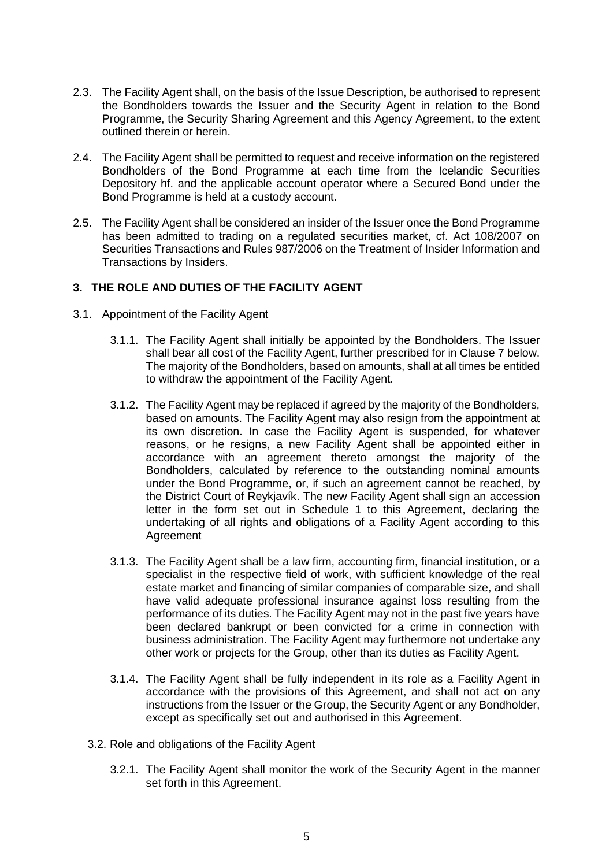- 2.3. The Facility Agent shall, on the basis of the Issue Description, be authorised to represent the Bondholders towards the Issuer and the Security Agent in relation to the Bond Programme, the Security Sharing Agreement and this Agency Agreement, to the extent outlined therein or herein.
- 2.4. The Facility Agent shall be permitted to request and receive information on the registered Bondholders of the Bond Programme at each time from the Icelandic Securities Depository hf. and the applicable account operator where a Secured Bond under the Bond Programme is held at a custody account.
- 2.5. The Facility Agent shall be considered an insider of the Issuer once the Bond Programme has been admitted to trading on a regulated securities market, cf. Act 108/2007 on Securities Transactions and Rules 987/2006 on the Treatment of Insider Information and Transactions by Insiders.

# **3. THE ROLE AND DUTIES OF THE FACILITY AGENT**

- 3.1. Appointment of the Facility Agent
	- 3.1.1. The Facility Agent shall initially be appointed by the Bondholders. The Issuer shall bear all cost of the Facility Agent, further prescribed for in Clause 7 below. The majority of the Bondholders, based on amounts, shall at all times be entitled to withdraw the appointment of the Facility Agent.
	- 3.1.2. The Facility Agent may be replaced if agreed by the majority of the Bondholders, based on amounts. The Facility Agent may also resign from the appointment at its own discretion. In case the Facility Agent is suspended, for whatever reasons, or he resigns, a new Facility Agent shall be appointed either in accordance with an agreement thereto amongst the majority of the Bondholders, calculated by reference to the outstanding nominal amounts under the Bond Programme, or, if such an agreement cannot be reached, by the District Court of Reykjavík. The new Facility Agent shall sign an accession letter in the form set out in Schedule 1 to this Agreement, declaring the undertaking of all rights and obligations of a Facility Agent according to this Agreement
	- 3.1.3. The Facility Agent shall be a law firm, accounting firm, financial institution, or a specialist in the respective field of work, with sufficient knowledge of the real estate market and financing of similar companies of comparable size, and shall have valid adequate professional insurance against loss resulting from the performance of its duties. The Facility Agent may not in the past five years have been declared bankrupt or been convicted for a crime in connection with business administration. The Facility Agent may furthermore not undertake any other work or projects for the Group, other than its duties as Facility Agent.
	- 3.1.4. The Facility Agent shall be fully independent in its role as a Facility Agent in accordance with the provisions of this Agreement, and shall not act on any instructions from the Issuer or the Group, the Security Agent or any Bondholder, except as specifically set out and authorised in this Agreement.
	- 3.2. Role and obligations of the Facility Agent
		- 3.2.1. The Facility Agent shall monitor the work of the Security Agent in the manner set forth in this Agreement.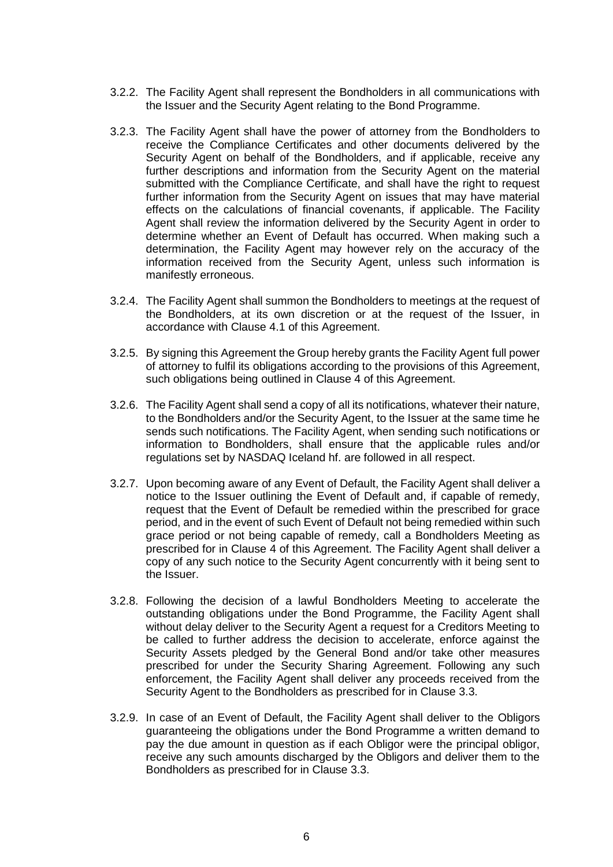- 3.2.2. The Facility Agent shall represent the Bondholders in all communications with the Issuer and the Security Agent relating to the Bond Programme.
- 3.2.3. The Facility Agent shall have the power of attorney from the Bondholders to receive the Compliance Certificates and other documents delivered by the Security Agent on behalf of the Bondholders, and if applicable, receive any further descriptions and information from the Security Agent on the material submitted with the Compliance Certificate, and shall have the right to request further information from the Security Agent on issues that may have material effects on the calculations of financial covenants, if applicable. The Facility Agent shall review the information delivered by the Security Agent in order to determine whether an Event of Default has occurred. When making such a determination, the Facility Agent may however rely on the accuracy of the information received from the Security Agent, unless such information is manifestly erroneous.
- 3.2.4. The Facility Agent shall summon the Bondholders to meetings at the request of the Bondholders, at its own discretion or at the request of the Issuer, in accordance with Clause 4.1 of this Agreement.
- 3.2.5. By signing this Agreement the Group hereby grants the Facility Agent full power of attorney to fulfil its obligations according to the provisions of this Agreement, such obligations being outlined in Clause 4 of this Agreement.
- 3.2.6. The Facility Agent shall send a copy of all its notifications, whatever their nature, to the Bondholders and/or the Security Agent, to the Issuer at the same time he sends such notifications. The Facility Agent, when sending such notifications or information to Bondholders, shall ensure that the applicable rules and/or regulations set by NASDAQ Iceland hf. are followed in all respect.
- 3.2.7. Upon becoming aware of any Event of Default, the Facility Agent shall deliver a notice to the Issuer outlining the Event of Default and, if capable of remedy, request that the Event of Default be remedied within the prescribed for grace period, and in the event of such Event of Default not being remedied within such grace period or not being capable of remedy, call a Bondholders Meeting as prescribed for in Clause 4 of this Agreement. The Facility Agent shall deliver a copy of any such notice to the Security Agent concurrently with it being sent to the Issuer.
- <span id="page-5-0"></span>3.2.8. Following the decision of a lawful Bondholders Meeting to accelerate the outstanding obligations under the Bond Programme, the Facility Agent shall without delay deliver to the Security Agent a request for a Creditors Meeting to be called to further address the decision to accelerate, enforce against the Security Assets pledged by the General Bond and/or take other measures prescribed for under the Security Sharing Agreement. Following any such enforcement, the Facility Agent shall deliver any proceeds received from the Security Agent to the Bondholders as prescribed for in Clause 3.3.
- <span id="page-5-1"></span>3.2.9. In case of an Event of Default, the Facility Agent shall deliver to the Obligors guaranteeing the obligations under the Bond Programme a written demand to pay the due amount in question as if each Obligor were the principal obligor, receive any such amounts discharged by the Obligors and deliver them to the Bondholders as prescribed for in Clause 3.3.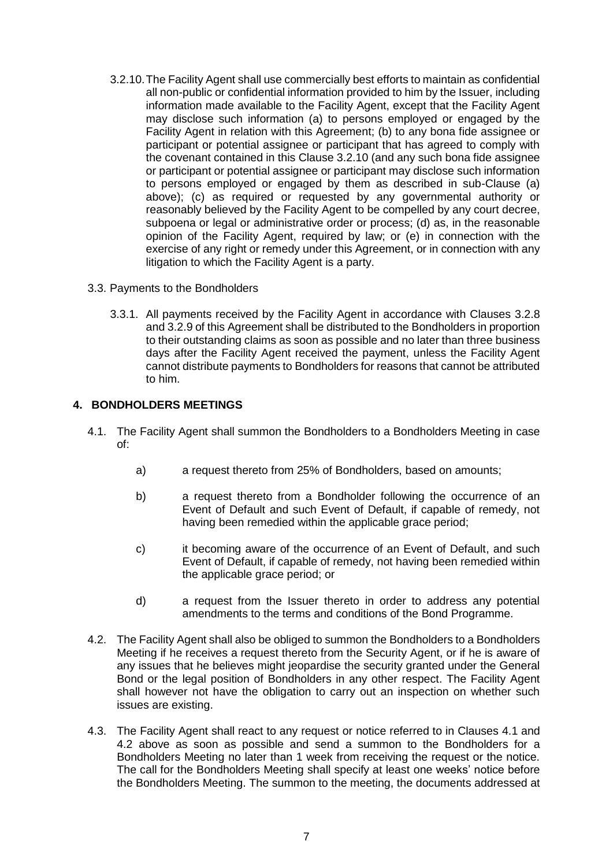- 3.2.10.The Facility Agent shall use commercially best efforts to maintain as confidential all non-public or confidential information provided to him by the Issuer, including information made available to the Facility Agent, except that the Facility Agent may disclose such information (a) to persons employed or engaged by the Facility Agent in relation with this Agreement; (b) to any bona fide assignee or participant or potential assignee or participant that has agreed to comply with the covenant contained in this Clause 3.2.10 (and any such bona fide assignee or participant or potential assignee or participant may disclose such information to persons employed or engaged by them as described in sub-Clause (a) above); (c) as required or requested by any governmental authority or reasonably believed by the Facility Agent to be compelled by any court decree, subpoena or legal or administrative order or process; (d) as, in the reasonable opinion of the Facility Agent, required by law; or (e) in connection with the exercise of any right or remedy under this Agreement, or in connection with any litigation to which the Facility Agent is a party.
- 3.3. Payments to the Bondholders
	- 3.3.1. All payments received by the Facility Agent in accordance with Clauses [3.2.8](#page-5-0) an[d 3.2.9](#page-5-1) of this Agreement shall be distributed to the Bondholders in proportion to their outstanding claims as soon as possible and no later than three business days after the Facility Agent received the payment, unless the Facility Agent cannot distribute payments to Bondholders for reasons that cannot be attributed to him.

# **4. BONDHOLDERS MEETINGS**

- 4.1. The Facility Agent shall summon the Bondholders to a Bondholders Meeting in case of:
	- a) a request thereto from 25% of Bondholders, based on amounts;
	- b) a request thereto from a Bondholder following the occurrence of an Event of Default and such Event of Default, if capable of remedy, not having been remedied within the applicable grace period;
	- c) it becoming aware of the occurrence of an Event of Default, and such Event of Default, if capable of remedy, not having been remedied within the applicable grace period; or
	- d) a request from the Issuer thereto in order to address any potential amendments to the terms and conditions of the Bond Programme.
- 4.2. The Facility Agent shall also be obliged to summon the Bondholders to a Bondholders Meeting if he receives a request thereto from the Security Agent, or if he is aware of any issues that he believes might jeopardise the security granted under the General Bond or the legal position of Bondholders in any other respect. The Facility Agent shall however not have the obligation to carry out an inspection on whether such issues are existing.
- 4.3. The Facility Agent shall react to any request or notice referred to in Clauses 4.1 and 4.2 above as soon as possible and send a summon to the Bondholders for a Bondholders Meeting no later than 1 week from receiving the request or the notice. The call for the Bondholders Meeting shall specify at least one weeks' notice before the Bondholders Meeting. The summon to the meeting, the documents addressed at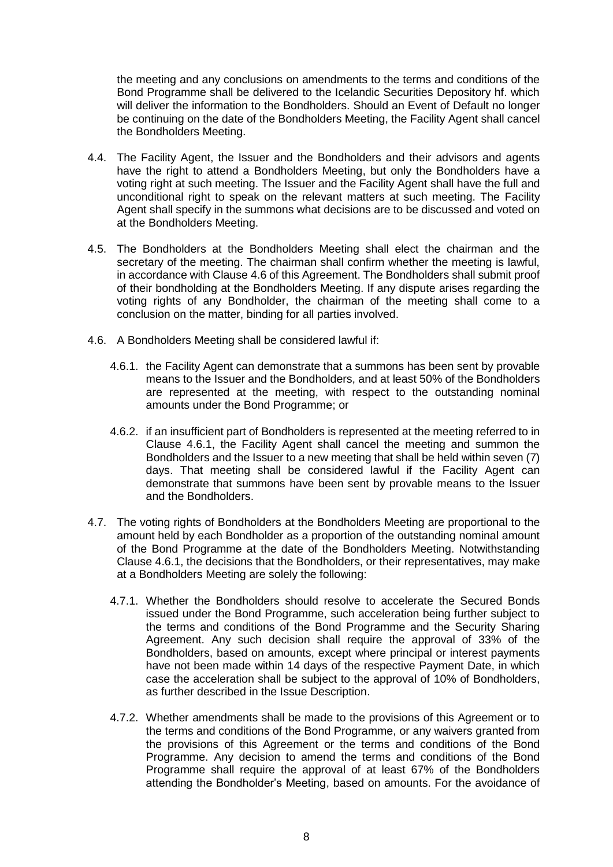the meeting and any conclusions on amendments to the terms and conditions of the Bond Programme shall be delivered to the Icelandic Securities Depository hf. which will deliver the information to the Bondholders. Should an Event of Default no longer be continuing on the date of the Bondholders Meeting, the Facility Agent shall cancel the Bondholders Meeting.

- 4.4. The Facility Agent, the Issuer and the Bondholders and their advisors and agents have the right to attend a Bondholders Meeting, but only the Bondholders have a voting right at such meeting. The Issuer and the Facility Agent shall have the full and unconditional right to speak on the relevant matters at such meeting. The Facility Agent shall specify in the summons what decisions are to be discussed and voted on at the Bondholders Meeting.
- 4.5. The Bondholders at the Bondholders Meeting shall elect the chairman and the secretary of the meeting. The chairman shall confirm whether the meeting is lawful, in accordance with Clause 4.6 of this Agreement. The Bondholders shall submit proof of their bondholding at the Bondholders Meeting. If any dispute arises regarding the voting rights of any Bondholder, the chairman of the meeting shall come to a conclusion on the matter, binding for all parties involved.
- <span id="page-7-0"></span>4.6. A Bondholders Meeting shall be considered lawful if:
	- 4.6.1. the Facility Agent can demonstrate that a summons has been sent by provable means to the Issuer and the Bondholders, and at least 50% of the Bondholders are represented at the meeting, with respect to the outstanding nominal amounts under the Bond Programme; or
	- 4.6.2. if an insufficient part of Bondholders is represented at the meeting referred to in Clause 4.6.1, the Facility Agent shall cancel the meeting and summon the Bondholders and the Issuer to a new meeting that shall be held within seven (7) days. That meeting shall be considered lawful if the Facility Agent can demonstrate that summons have been sent by provable means to the Issuer and the Bondholders.
- 4.7. The voting rights of Bondholders at the Bondholders Meeting are proportional to the amount held by each Bondholder as a proportion of the outstanding nominal amount of the Bond Programme at the date of the Bondholders Meeting. Notwithstanding Clause [4.6.1,](#page-7-0) the decisions that the Bondholders, or their representatives, may make at a Bondholders Meeting are solely the following:
	- 4.7.1. Whether the Bondholders should resolve to accelerate the Secured Bonds issued under the Bond Programme, such acceleration being further subject to the terms and conditions of the Bond Programme and the Security Sharing Agreement. Any such decision shall require the approval of 33% of the Bondholders, based on amounts, except where principal or interest payments have not been made within 14 days of the respective Payment Date, in which case the acceleration shall be subject to the approval of 10% of Bondholders, as further described in the Issue Description.
	- 4.7.2. Whether amendments shall be made to the provisions of this Agreement or to the terms and conditions of the Bond Programme, or any waivers granted from the provisions of this Agreement or the terms and conditions of the Bond Programme. Any decision to amend the terms and conditions of the Bond Programme shall require the approval of at least 67% of the Bondholders attending the Bondholder's Meeting, based on amounts. For the avoidance of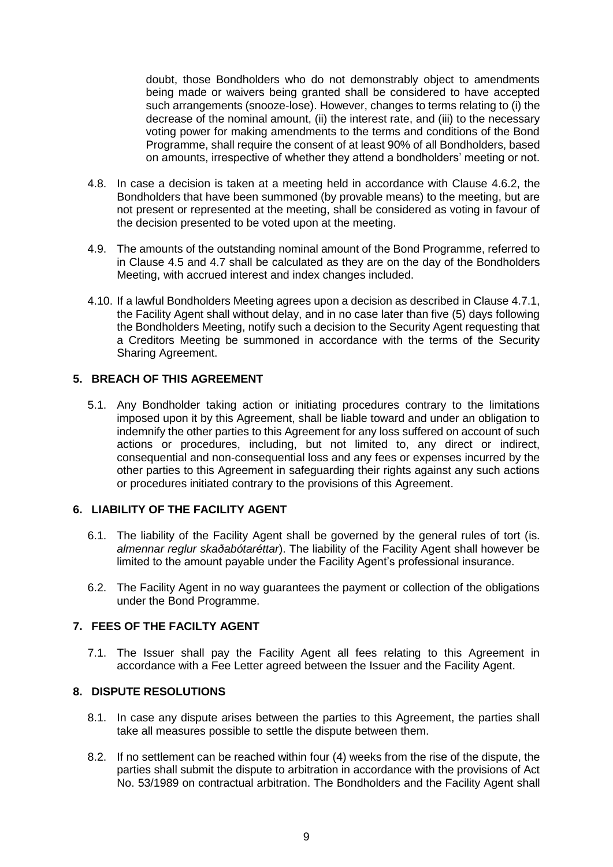doubt, those Bondholders who do not demonstrably object to amendments being made or waivers being granted shall be considered to have accepted such arrangements (snooze-lose). However, changes to terms relating to (i) the decrease of the nominal amount, (ii) the interest rate, and (iii) to the necessary voting power for making amendments to the terms and conditions of the Bond Programme, shall require the consent of at least 90% of all Bondholders, based on amounts, irrespective of whether they attend a bondholders' meeting or not.

- 4.8. In case a decision is taken at a meeting held in accordance with Clause 4.6.2, the Bondholders that have been summoned (by provable means) to the meeting, but are not present or represented at the meeting, shall be considered as voting in favour of the decision presented to be voted upon at the meeting.
- 4.9. The amounts of the outstanding nominal amount of the Bond Programme, referred to in Clause 4.5 and 4.7 shall be calculated as they are on the day of the Bondholders Meeting, with accrued interest and index changes included.
- 4.10. If a lawful Bondholders Meeting agrees upon a decision as described in Clause 4.7.1, the Facility Agent shall without delay, and in no case later than five (5) days following the Bondholders Meeting, notify such a decision to the Security Agent requesting that a Creditors Meeting be summoned in accordance with the terms of the Security Sharing Agreement.

# **5. BREACH OF THIS AGREEMENT**

5.1. Any Bondholder taking action or initiating procedures contrary to the limitations imposed upon it by this Agreement, shall be liable toward and under an obligation to indemnify the other parties to this Agreement for any loss suffered on account of such actions or procedures, including, but not limited to, any direct or indirect, consequential and non-consequential loss and any fees or expenses incurred by the other parties to this Agreement in safeguarding their rights against any such actions or procedures initiated contrary to the provisions of this Agreement.

# **6. LIABILITY OF THE FACILITY AGENT**

- 6.1. The liability of the Facility Agent shall be governed by the general rules of tort (is. *almennar reglur skaðabótaréttar*). The liability of the Facility Agent shall however be limited to the amount payable under the Facility Agent's professional insurance.
- 6.2. The Facility Agent in no way guarantees the payment or collection of the obligations under the Bond Programme.

# **7. FEES OF THE FACILTY AGENT**

7.1. The Issuer shall pay the Facility Agent all fees relating to this Agreement in accordance with a Fee Letter agreed between the Issuer and the Facility Agent.

#### **8. DISPUTE RESOLUTIONS**

- 8.1. In case any dispute arises between the parties to this Agreement, the parties shall take all measures possible to settle the dispute between them.
- 8.2. If no settlement can be reached within four (4) weeks from the rise of the dispute, the parties shall submit the dispute to arbitration in accordance with the provisions of Act No. 53/1989 on contractual arbitration. The Bondholders and the Facility Agent shall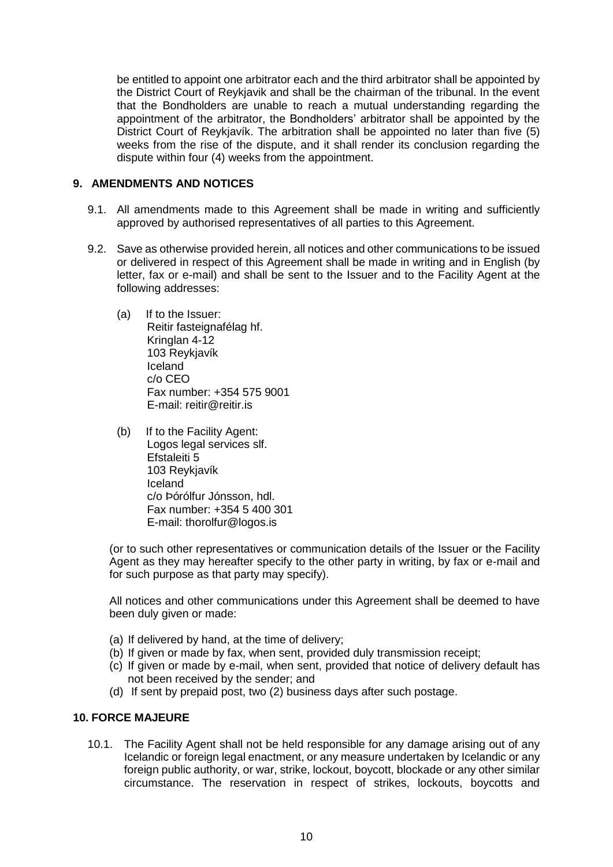be entitled to appoint one arbitrator each and the third arbitrator shall be appointed by the District Court of Reykjavik and shall be the chairman of the tribunal. In the event that the Bondholders are unable to reach a mutual understanding regarding the appointment of the arbitrator, the Bondholders' arbitrator shall be appointed by the District Court of Reykjavík. The arbitration shall be appointed no later than five (5) weeks from the rise of the dispute, and it shall render its conclusion regarding the dispute within four (4) weeks from the appointment.

#### **9. AMENDMENTS AND NOTICES**

- 9.1. All amendments made to this Agreement shall be made in writing and sufficiently approved by authorised representatives of all parties to this Agreement.
- 9.2. Save as otherwise provided herein, all notices and other communications to be issued or delivered in respect of this Agreement shall be made in writing and in English (by letter, fax or e-mail) and shall be sent to the Issuer and to the Facility Agent at the following addresses:
	- (a) If to the Issuer: Reitir fasteignafélag hf. Kringlan 4-12 103 Reykjavík Iceland c/o CEO Fax number: +354 575 9001 E-mail: reitir@reitir.is
	- (b) If to the Facility Agent: Logos legal services slf. Efstaleiti 5 103 Reykjavík Iceland c/o Þórólfur Jónsson, hdl. Fax number: +354 5 400 301 E-mail: thorolfur@logos.is

(or to such other representatives or communication details of the Issuer or the Facility Agent as they may hereafter specify to the other party in writing, by fax or e-mail and for such purpose as that party may specify).

All notices and other communications under this Agreement shall be deemed to have been duly given or made:

- (a) If delivered by hand, at the time of delivery;
- (b) If given or made by fax, when sent, provided duly transmission receipt;
- (c) If given or made by e-mail, when sent, provided that notice of delivery default has not been received by the sender; and
- (d) If sent by prepaid post, two (2) business days after such postage.

#### **10. FORCE MAJEURE**

10.1. The Facility Agent shall not be held responsible for any damage arising out of any Icelandic or foreign legal enactment, or any measure undertaken by Icelandic or any foreign public authority, or war, strike, lockout, boycott, blockade or any other similar circumstance. The reservation in respect of strikes, lockouts, boycotts and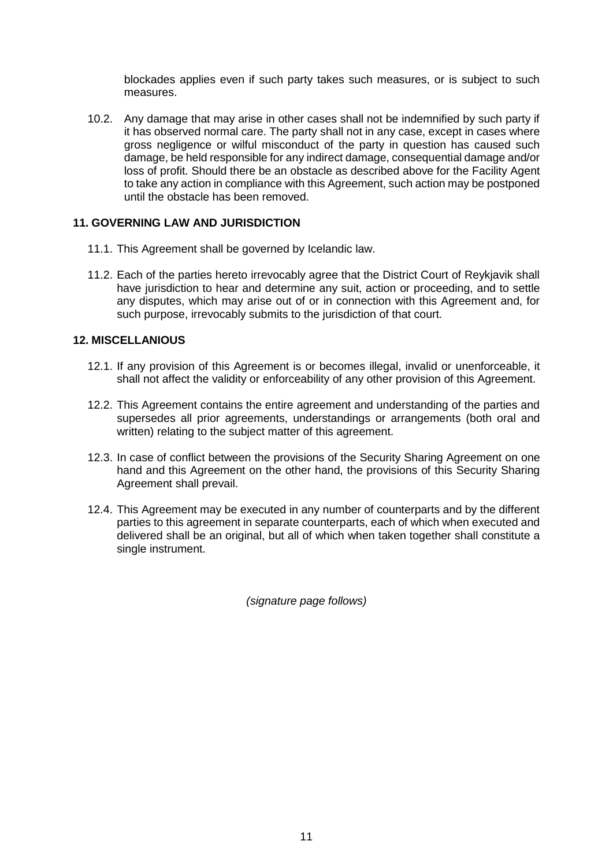blockades applies even if such party takes such measures, or is subject to such measures.

10.2. Any damage that may arise in other cases shall not be indemnified by such party if it has observed normal care. The party shall not in any case, except in cases where gross negligence or wilful misconduct of the party in question has caused such damage, be held responsible for any indirect damage, consequential damage and/or loss of profit. Should there be an obstacle as described above for the Facility Agent to take any action in compliance with this Agreement, such action may be postponed until the obstacle has been removed.

# **11. GOVERNING LAW AND JURISDICTION**

- 11.1. This Agreement shall be governed by Icelandic law.
- 11.2. Each of the parties hereto irrevocably agree that the District Court of Reykjavik shall have jurisdiction to hear and determine any suit, action or proceeding, and to settle any disputes, which may arise out of or in connection with this Agreement and, for such purpose, irrevocably submits to the jurisdiction of that court.

# **12. MISCELLANIOUS**

- 12.1. If any provision of this Agreement is or becomes illegal, invalid or unenforceable, it shall not affect the validity or enforceability of any other provision of this Agreement.
- 12.2. This Agreement contains the entire agreement and understanding of the parties and supersedes all prior agreements, understandings or arrangements (both oral and written) relating to the subject matter of this agreement.
- 12.3. In case of conflict between the provisions of the Security Sharing Agreement on one hand and this Agreement on the other hand, the provisions of this Security Sharing Agreement shall prevail.
- 12.4. This Agreement may be executed in any number of counterparts and by the different parties to this agreement in separate counterparts, each of which when executed and delivered shall be an original, but all of which when taken together shall constitute a single instrument.

*(signature page follows)*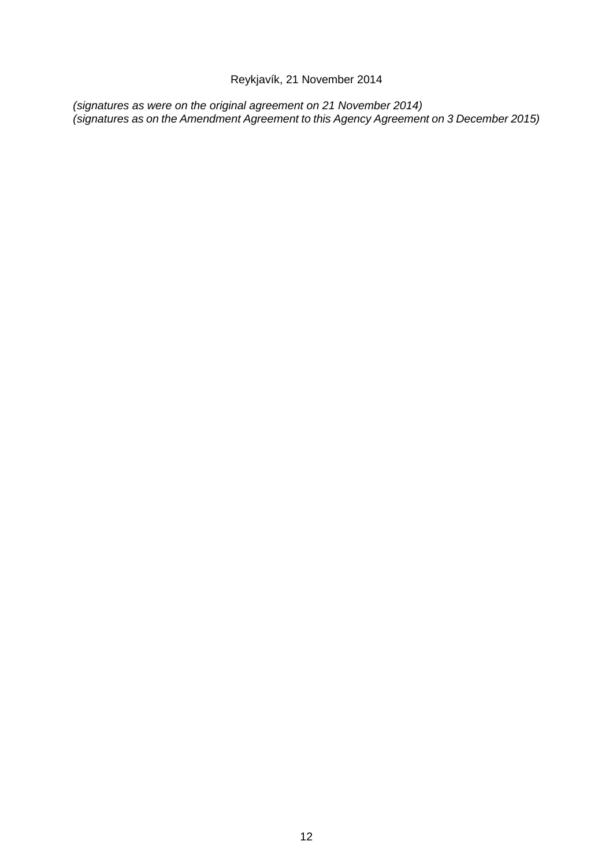Reykjavík, 21 November 2014

*(signatures as were on the original agreement on 21 November 2014) (signatures as on the Amendment Agreement to this Agency Agreement on 3 December 2015)*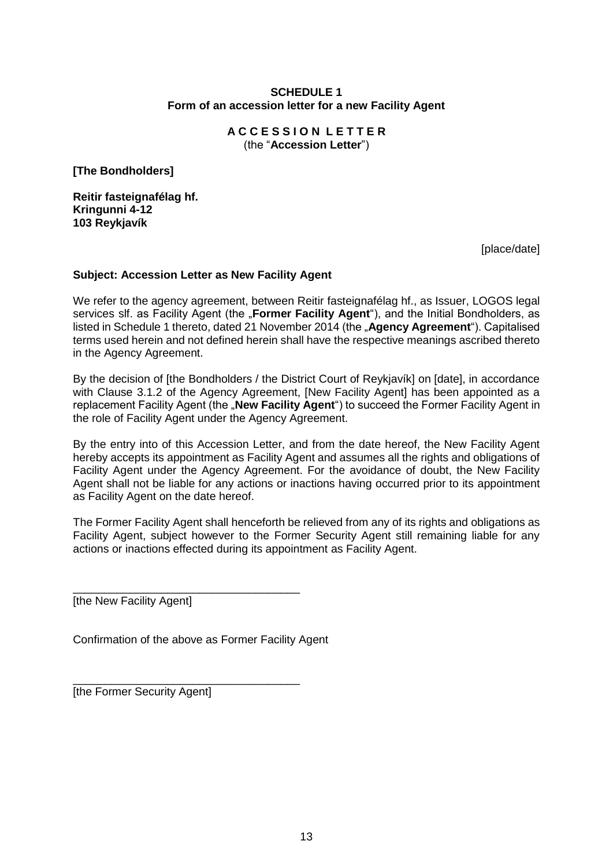# **SCHEDULE 1 Form of an accession letter for a new Facility Agent**

**A C C E S S I O N L E T T E R**  (the "**Accession Letter**")

**[The Bondholders]**

**Reitir fasteignafélag hf. Kringunni 4-12 103 Reykjavík**

[place/date]

# **Subject: Accession Letter as New Facility Agent**

We refer to the agency agreement, between Reitir fasteignafélag hf., as Issuer, LOGOS legal services slf. as Facility Agent (the "Former Facility Agent"), and the Initial Bondholders, as listed in Schedule 1 thereto, dated 21 November 2014 (the "Agency Agreement"). Capitalised terms used herein and not defined herein shall have the respective meanings ascribed thereto in the Agency Agreement.

By the decision of [the Bondholders / the District Court of Reykjavík] on [date], in accordance with Clause 3.1.2 of the Agency Agreement, [New Facility Agent] has been appointed as a replacement Facility Agent (the "New Facility Agent") to succeed the Former Facility Agent in the role of Facility Agent under the Agency Agreement.

By the entry into of this Accession Letter, and from the date hereof, the New Facility Agent hereby accepts its appointment as Facility Agent and assumes all the rights and obligations of Facility Agent under the Agency Agreement. For the avoidance of doubt, the New Facility Agent shall not be liable for any actions or inactions having occurred prior to its appointment as Facility Agent on the date hereof.

The Former Facility Agent shall henceforth be relieved from any of its rights and obligations as Facility Agent, subject however to the Former Security Agent still remaining liable for any actions or inactions effected during its appointment as Facility Agent.

[the New Facility Agent]

Confirmation of the above as Former Facility Agent

\_\_\_\_\_\_\_\_\_\_\_\_\_\_\_\_\_\_\_\_\_\_\_\_\_\_\_\_\_\_\_\_\_\_\_\_

\_\_\_\_\_\_\_\_\_\_\_\_\_\_\_\_\_\_\_\_\_\_\_\_\_\_\_\_\_\_\_\_\_\_\_\_ [the Former Security Agent]